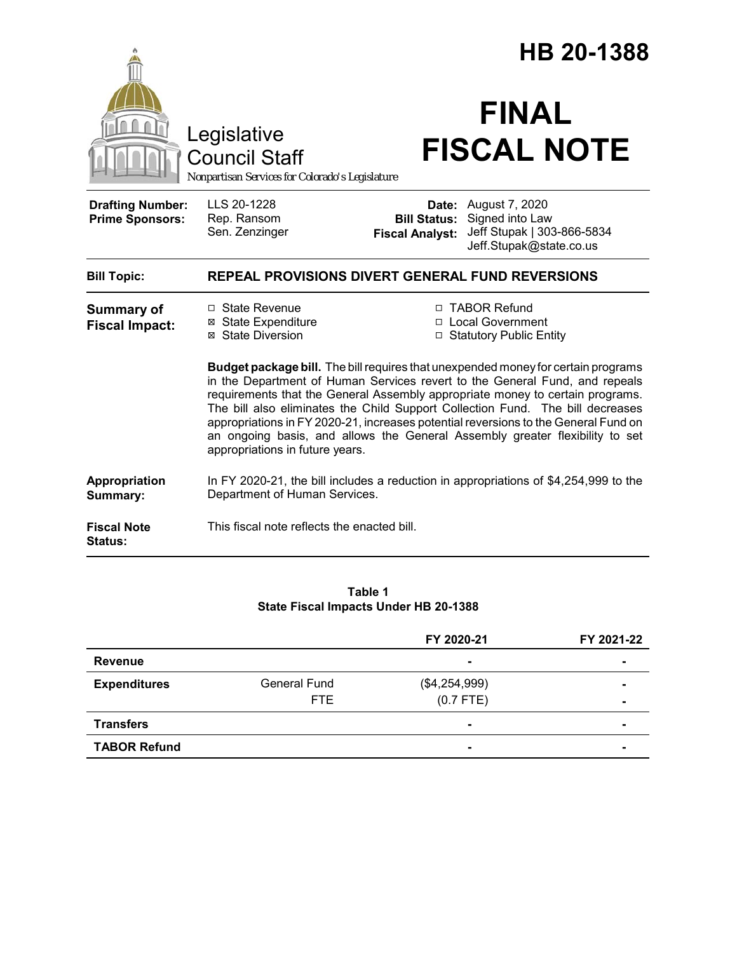|                                                   |                                                                                                                                                                                                                                                                                                                                                                                                                                                                                                                                                                       |                                                                                                                                                                      | HB 20-1388                                            |  |
|---------------------------------------------------|-----------------------------------------------------------------------------------------------------------------------------------------------------------------------------------------------------------------------------------------------------------------------------------------------------------------------------------------------------------------------------------------------------------------------------------------------------------------------------------------------------------------------------------------------------------------------|----------------------------------------------------------------------------------------------------------------------------------------------------------------------|-------------------------------------------------------|--|
|                                                   | Legislative<br><b>Council Staff</b><br>Nonpartisan Services for Colorado's Legislature                                                                                                                                                                                                                                                                                                                                                                                                                                                                                | <b>FINAL</b><br><b>FISCAL NOTE</b>                                                                                                                                   |                                                       |  |
| <b>Drafting Number:</b><br><b>Prime Sponsors:</b> | LLS 20-1228<br>Rep. Ransom<br>Sen. Zenzinger                                                                                                                                                                                                                                                                                                                                                                                                                                                                                                                          | <b>Date:</b> August 7, 2020<br>Signed into Law<br><b>Bill Status:</b><br><b>Fiscal Analyst:</b>                                                                      | Jeff Stupak   303-866-5834<br>Jeff.Stupak@state.co.us |  |
| <b>Bill Topic:</b>                                | REPEAL PROVISIONS DIVERT GENERAL FUND REVERSIONS                                                                                                                                                                                                                                                                                                                                                                                                                                                                                                                      |                                                                                                                                                                      |                                                       |  |
| <b>Summary of</b><br><b>Fiscal Impact:</b>        | □ TABOR Refund<br>□ State Revenue<br>□ Local Government<br><b>⊠ State Expenditure</b><br>⊠ State Diversion<br>□ Statutory Public Entity<br>Budget package bill. The bill requires that unexpended money for certain programs<br>in the Department of Human Services revert to the General Fund, and repeals<br>requirements that the General Assembly appropriate money to certain programs.<br>The bill also eliminates the Child Support Collection Fund. The bill decreases<br>appropriations in FY 2020-21, increases potential reversions to the General Fund on |                                                                                                                                                                      |                                                       |  |
| Appropriation<br>Summary:                         | appropriations in future years.<br>Department of Human Services.                                                                                                                                                                                                                                                                                                                                                                                                                                                                                                      | an ongoing basis, and allows the General Assembly greater flexibility to set<br>In FY 2020-21, the bill includes a reduction in appropriations of \$4,254,999 to the |                                                       |  |
| <b>Fiscal Note</b><br>Status:                     | This fiscal note reflects the enacted bill.                                                                                                                                                                                                                                                                                                                                                                                                                                                                                                                           |                                                                                                                                                                      |                                                       |  |

#### **Table 1 State Fiscal Impacts Under HB 20-1388**

|                     |                     | FY 2020-21     | FY 2021-22     |
|---------------------|---------------------|----------------|----------------|
| <b>Revenue</b>      |                     | $\blacksquare$ | $\blacksquare$ |
| <b>Expenditures</b> | <b>General Fund</b> | (\$4,254,999)  |                |
|                     | FTE.                | $(0.7$ FTE)    | $\blacksquare$ |
| <b>Transfers</b>    |                     | $\blacksquare$ |                |
| <b>TABOR Refund</b> |                     |                |                |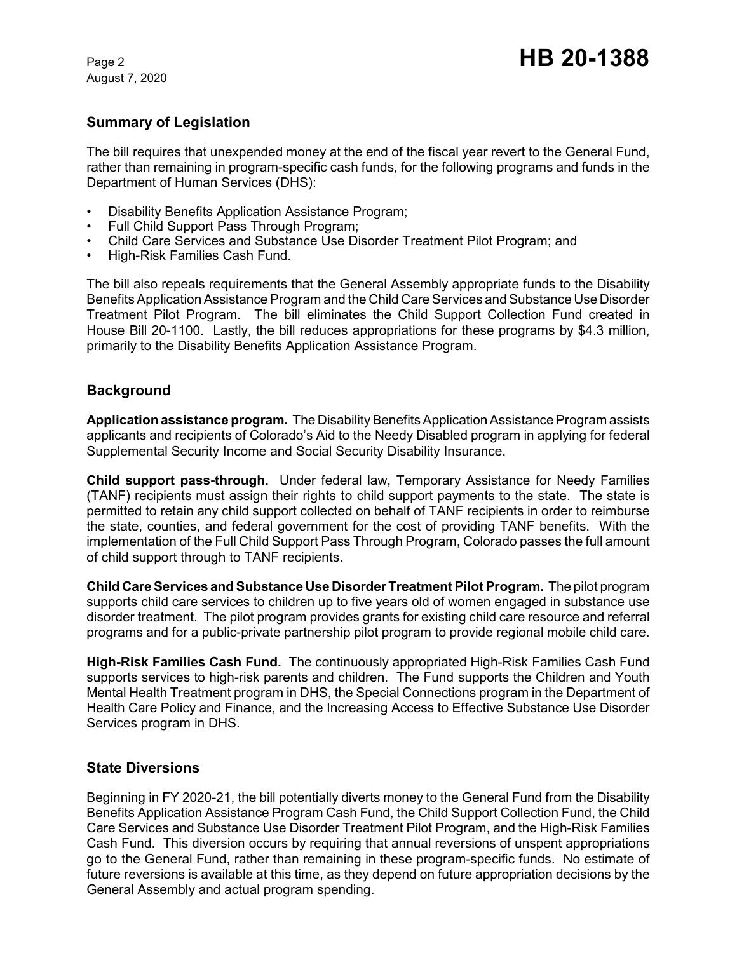August 7, 2020

# **Summary of Legislation**

The bill requires that unexpended money at the end of the fiscal year revert to the General Fund, rather than remaining in program-specific cash funds, for the following programs and funds in the Department of Human Services (DHS):

- Disability Benefits Application Assistance Program;
- Full Child Support Pass Through Program;
- Child Care Services and Substance Use Disorder Treatment Pilot Program; and
- High-Risk Families Cash Fund.

The bill also repeals requirements that the General Assembly appropriate funds to the Disability Benefits Application Assistance Program and the Child Care Services and Substance Use Disorder Treatment Pilot Program. The bill eliminates the Child Support Collection Fund created in House Bill 20-1100. Lastly, the bill reduces appropriations for these programs by \$4.3 million, primarily to the Disability Benefits Application Assistance Program.

## **Background**

**Application assistance program.** The Disability Benefits Application Assistance Program assists applicants and recipients of Colorado's Aid to the Needy Disabled program in applying for federal Supplemental Security Income and Social Security Disability Insurance.

**Child support pass-through.** Under federal law, Temporary Assistance for Needy Families (TANF) recipients must assign their rights to child support payments to the state. The state is permitted to retain any child support collected on behalf of TANF recipients in order to reimburse the state, counties, and federal government for the cost of providing TANF benefits. With the implementation of the Full Child Support Pass Through Program, Colorado passes the full amount of child support through to TANF recipients.

**Child Care Services and Substance Use Disorder Treatment Pilot Program.** The pilot program supports child care services to children up to five years old of women engaged in substance use disorder treatment. The pilot program provides grants for existing child care resource and referral programs and for a public-private partnership pilot program to provide regional mobile child care.

**High-Risk Families Cash Fund.** The continuously appropriated High-Risk Families Cash Fund supports services to high-risk parents and children. The Fund supports the Children and Youth Mental Health Treatment program in DHS, the Special Connections program in the Department of Health Care Policy and Finance, and the Increasing Access to Effective Substance Use Disorder Services program in DHS.

#### **State Diversions**

Beginning in FY 2020-21, the bill potentially diverts money to the General Fund from the Disability Benefits Application Assistance Program Cash Fund, the Child Support Collection Fund, the Child Care Services and Substance Use Disorder Treatment Pilot Program, and the High-Risk Families Cash Fund. This diversion occurs by requiring that annual reversions of unspent appropriations go to the General Fund, rather than remaining in these program-specific funds. No estimate of future reversions is available at this time, as they depend on future appropriation decisions by the General Assembly and actual program spending.